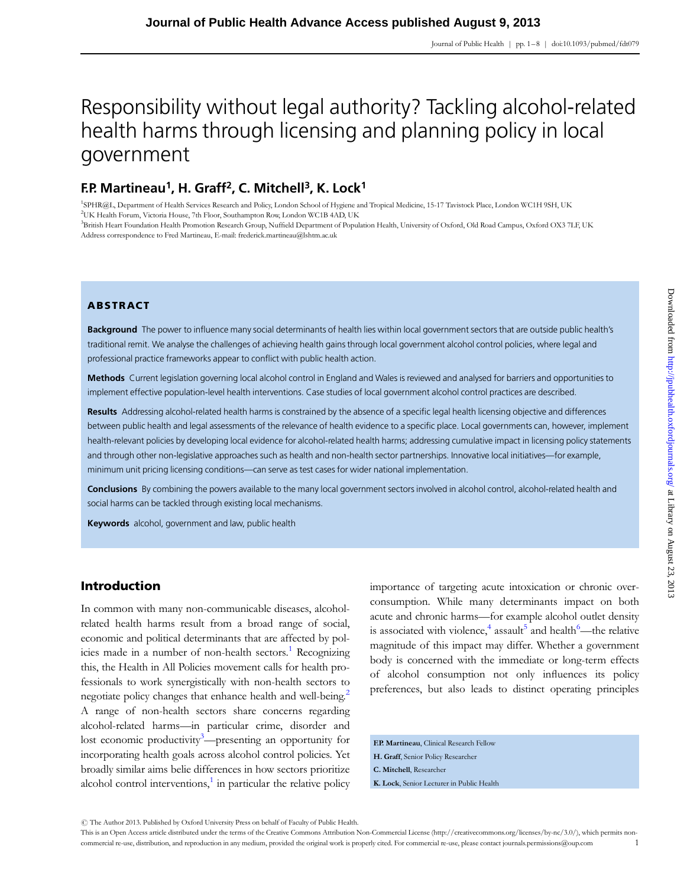# Responsibility without legal authority? Tackling alcohol-related health harms through licensing and planning policy in local government

# F.P. Martineau<sup>1</sup>, H. Graff<sup>2</sup>, C. Mitchell<sup>3</sup>, K. Lock<sup>1</sup>

1 SPHR@L, Department of Health Services Research and Policy, London School of Hygiene and Tropical Medicine, 15-17 Tavistock Place, London WC1H 9SH, UK 2 UK Health Forum, Victoria House, 7th Floor, Southampton Row, London WC1B 4AD, UK

3 British Heart Foundation Health Promotion Research Group, Nuffield Department of Population Health, University of Oxford, Old Road Campus, Oxford OX3 7LF, UK Address correspondence to Fred Martineau, E-mail: frederick.martineau@lshtm.ac.uk

# ABSTRACT

Background The power to influence many social determinants of health lies within local government sectors that are outside public health's traditional remit. We analyse the challenges of achieving health gains through local government alcohol control policies, where legal and professional practice frameworks appear to conflict with public health action.

Methods Current legislation governing local alcohol control in England and Wales is reviewed and analysed for barriers and opportunities to implement effective population-level health interventions. Case studies of local government alcohol control practices are described.

Results Addressing alcohol-related health harms is constrained by the absence of a specific legal health licensing objective and differences between public health and legal assessments of the relevance of health evidence to a specific place. Local governments can, however, implement health-relevant policies by developing local evidence for alcohol-related health harms; addressing cumulative impact in licensing policy statements and through other non-legislative approaches such as health and non-health sector partnerships. Innovative local initiatives—for example, minimum unit pricing licensing conditions—can serve as test cases for wider national implementation.

Conclusions By combining the powers available to the many local government sectors involved in alcohol control, alcohol-related health and social harms can be tackled through existing local mechanisms.

Keywords alcohol, government and law, public health

# Introduction

In common with many non-communicable diseases, alcoholrelated health harms result from a broad range of social, economic and political determinants that are affected by pol-icies made in a number of non-health sectors.<sup>[1](#page-6-0)</sup> Recognizing this, the Health in All Policies movement calls for health professionals to work synergistically with non-health sectors to negotiate policy changes that enhance health and well-being.<sup>2</sup> A range of non-health sectors share concerns regarding alcohol-related harms—in particular crime, disorder and lost economic productivity<sup>[3](#page-6-0)</sup>—presenting an opportunity for incorporating health goals across alcohol control policies. Yet broadly similar aims belie differences in how sectors prioritize alcohol control interventions, $\frac{1}{n}$  $\frac{1}{n}$  $\frac{1}{n}$  in particular the relative policy

importance of targeting acute intoxication or chronic overconsumption. While many determinants impact on both acute and chronic harms—for example alcohol outlet density is associated with violence,<sup>[4](#page-6-0)</sup> assault<sup>[5](#page-6-0)</sup> and health<sup>[6](#page-6-0)</sup>—the relative magnitude of this impact may differ. Whether a government body is concerned with the immediate or long-term effects of alcohol consumption not only influences its policy preferences, but also leads to distinct operating principles

F.P. Martineau, Clinical Research Fellow H. Graff, Senior Policy Researcher C. Mitchell, Researcher K. Lock, Senior Lecturer in Public Health

 $\circledR$  The Author 2013. Published by Oxford University Press on behalf of Faculty of Public Health.

This is an Open Access article distributed under the terms of the Creative Commons Attribution Non-Commercial License (http://creativecommons.org/licenses/by-nc/3.0/), which permits noncommercial re-use, distribution, and reproduction in any medium, provided the original work is properly cited. For commercial re-use, please contact journals.permissions@oup.com 1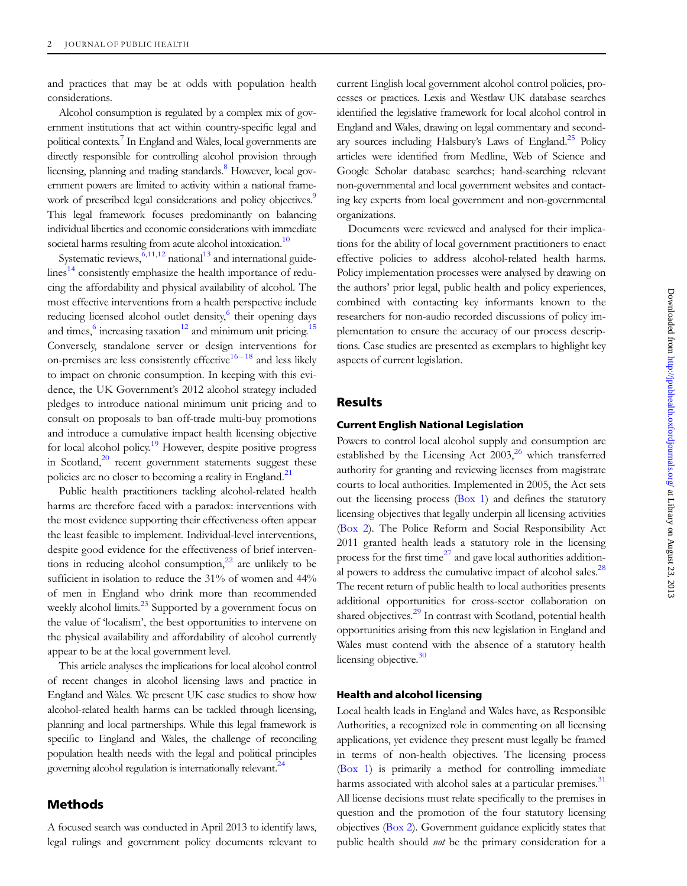and practices that may be at odds with population health considerations.

Alcohol consumption is regulated by a complex mix of government institutions that act within country-specific legal and political contexts[.7](#page-6-0) In England and Wales, local governments are directly responsible for controlling alcohol provision through licensing, planning and trading standards.<sup>8</sup> However, local government powers are limited to activity within a national frame-work of prescribed legal considerations and policy objectives.<sup>[9](#page-6-0)</sup> This legal framework focuses predominantly on balancing individual liberties and economic considerations with immediate societal harms resulting from acute alcohol intoxication.<sup>10</sup>

Systematic reviews,  $6,11,12$  national<sup>[13](#page-6-0)</sup> and international guide-lines<sup>[14](#page-6-0)</sup> consistently emphasize the health importance of reducing the affordability and physical availability of alcohol. The most effective interventions from a health perspective include reducing licensed alcohol outlet density,<sup>6</sup> their opening days and times, $6 \text{ increasing taxation}^{12}$  $6 \text{ increasing taxation}^{12}$  $6 \text{ increasing taxation}^{12}$  and minimum unit pricing.<sup>[15](#page-6-0)</sup> Conversely, standalone server or design interventions for on-premises are less consistently effective<sup>[16](#page-6-0)-[18](#page-6-0)</sup> and less likely to impact on chronic consumption. In keeping with this evidence, the UK Government's 2012 alcohol strategy included pledges to introduce national minimum unit pricing and to consult on proposals to ban off-trade multi-buy promotions and introduce a cumulative impact health licensing objective for local alcohol policy.<sup>[19](#page-6-0)</sup> However, despite positive progress in Scotland, $20$  recent government statements suggest these policies are no closer to becoming a reality in England.<sup>[21](#page-6-0)</sup>

Public health practitioners tackling alcohol-related health harms are therefore faced with a paradox: interventions with the most evidence supporting their effectiveness often appear the least feasible to implement. Individual-level interventions, despite good evidence for the effectiveness of brief interventions in reducing alcohol consumption, $^{22}$  $^{22}$  $^{22}$  are unlikely to be sufficient in isolation to reduce the 31% of women and 44% of men in England who drink more than recommended weekly alcohol limits.<sup>[23](#page-6-0)</sup> Supported by a government focus on the value of 'localism', the best opportunities to intervene on the physical availability and affordability of alcohol currently appear to be at the local government level.

This article analyses the implications for local alcohol control of recent changes in alcohol licensing laws and practice in England and Wales. We present UK case studies to show how alcohol-related health harms can be tackled through licensing, planning and local partnerships. While this legal framework is specific to England and Wales, the challenge of reconciling population health needs with the legal and political principles governing alcohol regulation is internationally relevant.<sup>24</sup>

# Methods

A focused search was conducted in April 2013 to identify laws, legal rulings and government policy documents relevant to current English local government alcohol control policies, processes or practices. Lexis and Westlaw UK database searches identified the legislative framework for local alcohol control in England and Wales, drawing on legal commentary and second-ary sources including Halsbury's Laws of England.<sup>[25](#page-6-0)</sup> Policy articles were identified from Medline, Web of Science and Google Scholar database searches; hand-searching relevant non-governmental and local government websites and contacting key experts from local government and non-governmental organizations.

Documents were reviewed and analysed for their implications for the ability of local government practitioners to enact effective policies to address alcohol-related health harms. Policy implementation processes were analysed by drawing on the authors' prior legal, public health and policy experiences, combined with contacting key informants known to the researchers for non-audio recorded discussions of policy implementation to ensure the accuracy of our process descriptions. Case studies are presented as exemplars to highlight key aspects of current legislation.

# Results

#### Current English National Legislation

Powers to control local alcohol supply and consumption are established by the Licensing Act  $2003$ ,<sup>[26](#page-6-0)</sup> which transferred authority for granting and reviewing licenses from magistrate courts to local authorities. Implemented in 2005, the Act sets out the licensing process (Box 1) and defines the statutory licensing objectives that legally underpin all licensing activities (Box 2). The Police Reform and Social Responsibility Act 2011 granted health leads a statutory role in the licensing process for the first time $^{27}$  $^{27}$  $^{27}$  and gave local authorities additional powers to address the cumulative impact of alcohol sales. $^{28}$ The recent return of public health to local authorities presents additional opportunities for cross-sector collaboration on shared objectives.<sup>[29](#page-6-0)</sup> In contrast with Scotland, potential health opportunities arising from this new legislation in England and Wales must contend with the absence of a statutory health licensing objective.<sup>30</sup>

### Health and alcohol licensing

Local health leads in England and Wales have, as Responsible Authorities, a recognized role in commenting on all licensing applications, yet evidence they present must legally be framed in terms of non-health objectives. The licensing process (Box 1) is primarily a method for controlling immediate harms associated with alcohol sales at a particular premises.<sup>[31](#page-6-0)</sup> All license decisions must relate specifically to the premises in question and the promotion of the four statutory licensing objectives (Box 2). Government guidance explicitly states that public health should not be the primary consideration for a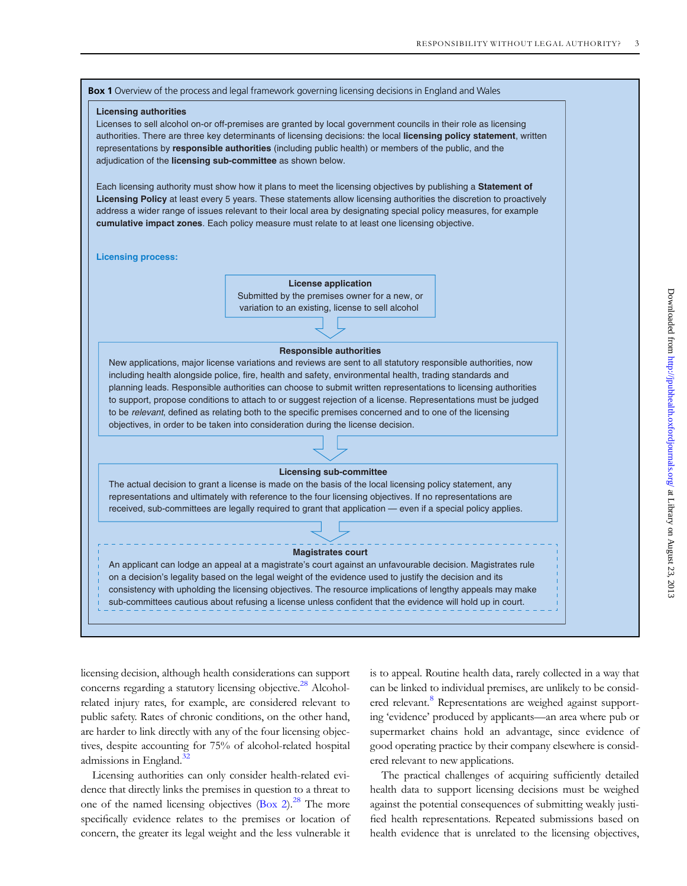

licensing decision, although health considerations can support concerns regarding a statutory licensing objective.<sup>[28](#page-6-0)</sup> Alcoholrelated injury rates, for example, are considered relevant to public safety. Rates of chronic conditions, on the other hand, are harder to link directly with any of the four licensing objectives, despite accounting for 75% of alcohol-related hospital admissions in England. $32$ 

Licensing authorities can only consider health-related evidence that directly links the premises in question to a threat to one of the named licensing objectives  $(Box 2)^{28}$  The more specifically evidence relates to the premises or location of concern, the greater its legal weight and the less vulnerable it

is to appeal. Routine health data, rarely collected in a way that can be linked to individual premises, are unlikely to be consid-ered relevant.<sup>[8](#page-6-0)</sup> Representations are weighed against supporting 'evidence' produced by applicants—an area where pub or supermarket chains hold an advantage, since evidence of good operating practice by their company elsewhere is considered relevant to new applications.

The practical challenges of acquiring sufficiently detailed health data to support licensing decisions must be weighed against the potential consequences of submitting weakly justified health representations. Repeated submissions based on health evidence that is unrelated to the licensing objectives,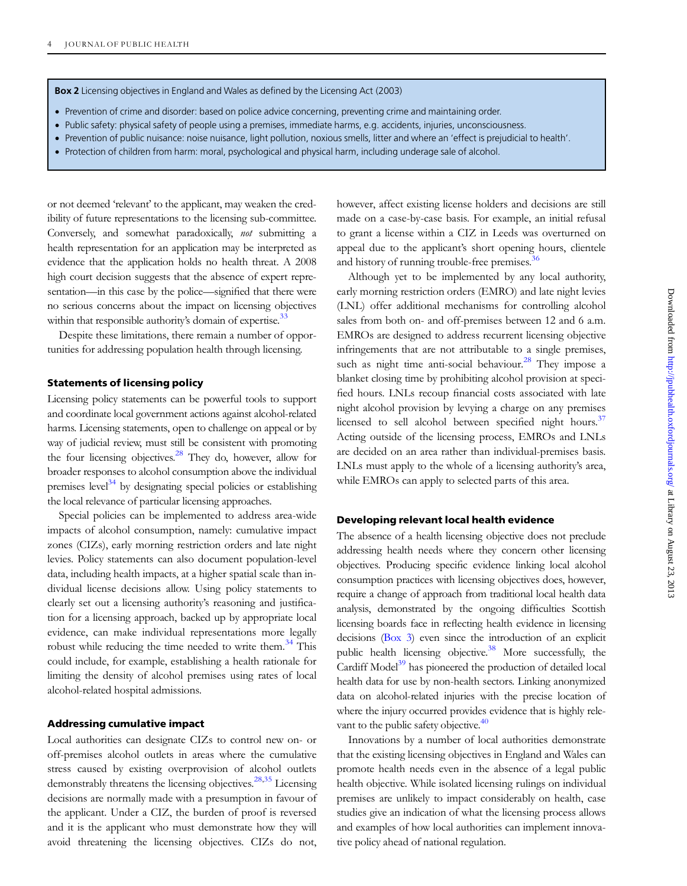Box 2 Licensing objectives in England and Wales as defined by the Licensing Act (2003)

- Prevention of crime and disorder: based on police advice concerning, preventing crime and maintaining order.
- Public safety: physical safety of people using a premises, immediate harms, e.g. accidents, injuries, unconsciousness.
- † Prevention of public nuisance: noise nuisance, light pollution, noxious smells, litter and where an 'effect is prejudicial to health'.
- † Protection of children from harm: moral, psychological and physical harm, including underage sale of alcohol.

or not deemed 'relevant' to the applicant, may weaken the credibility of future representations to the licensing sub-committee. Conversely, and somewhat paradoxically, not submitting a health representation for an application may be interpreted as evidence that the application holds no health threat. A 2008 high court decision suggests that the absence of expert representation—in this case by the police—signified that there were no serious concerns about the impact on licensing objectives within that responsible authority's domain of expertise.<sup>[33](#page-6-0)</sup>

Despite these limitations, there remain a number of opportunities for addressing population health through licensing.

#### Statements of licensing policy

Licensing policy statements can be powerful tools to support and coordinate local government actions against alcohol-related harms. Licensing statements, open to challenge on appeal or by way of judicial review, must still be consistent with promoting the four licensing objectives. $28$  They do, however, allow for broader responses to alcohol consumption above the individual premises level<sup>34</sup> by designating special policies or establishing the local relevance of particular licensing approaches.

Special policies can be implemented to address area-wide impacts of alcohol consumption, namely: cumulative impact zones (CIZs), early morning restriction orders and late night levies. Policy statements can also document population-level data, including health impacts, at a higher spatial scale than individual license decisions allow. Using policy statements to clearly set out a licensing authority's reasoning and justification for a licensing approach, backed up by appropriate local evidence, can make individual representations more legally robust while reducing the time needed to write them. $34$  This could include, for example, establishing a health rationale for limiting the density of alcohol premises using rates of local alcohol-related hospital admissions.

#### Addressing cumulative impact

Local authorities can designate CIZs to control new on- or off-premises alcohol outlets in areas where the cumulative stress caused by existing overprovision of alcohol outlets demonstrably threatens the licensing objectives.<sup>28[,35](#page-7-0)</sup> Licensing decisions are normally made with a presumption in favour of the applicant. Under a CIZ, the burden of proof is reversed and it is the applicant who must demonstrate how they will avoid threatening the licensing objectives. CIZs do not, however, affect existing license holders and decisions are still made on a case-by-case basis. For example, an initial refusal to grant a license within a CIZ in Leeds was overturned on appeal due to the applicant's short opening hours, clientele and history of running trouble-free premises.<sup>36</sup>

Although yet to be implemented by any local authority, early morning restriction orders (EMRO) and late night levies (LNL) offer additional mechanisms for controlling alcohol sales from both on- and off-premises between 12 and 6 a.m. EMROs are designed to address recurrent licensing objective infringements that are not attributable to a single premises, such as night time anti-social behaviour.<sup>[28](#page-6-0)</sup> They impose a blanket closing time by prohibiting alcohol provision at specified hours. LNLs recoup financial costs associated with late night alcohol provision by levying a charge on any premises licensed to sell alcohol between specified night hours.<sup>[37](#page-7-0)</sup> Acting outside of the licensing process, EMROs and LNLs are decided on an area rather than individual-premises basis. LNLs must apply to the whole of a licensing authority's area, while EMROs can apply to selected parts of this area.

#### Developing relevant local health evidence

The absence of a health licensing objective does not preclude addressing health needs where they concern other licensing objectives. Producing specific evidence linking local alcohol consumption practices with licensing objectives does, however, require a change of approach from traditional local health data analysis, demonstrated by the ongoing difficulties Scottish licensing boards face in reflecting health evidence in licensing decisions (Box 3) even since the introduction of an explicit public health licensing objective. $38$  More successfully, the Cardiff Model<sup>[39](#page-7-0)</sup> has pioneered the production of detailed local health data for use by non-health sectors. Linking anonymized data on alcohol-related injuries with the precise location of where the injury occurred provides evidence that is highly relevant to the public safety objective.<sup>40</sup>

Innovations by a number of local authorities demonstrate that the existing licensing objectives in England and Wales can promote health needs even in the absence of a legal public health objective. While isolated licensing rulings on individual premises are unlikely to impact considerably on health, case studies give an indication of what the licensing process allows and examples of how local authorities can implement innovative policy ahead of national regulation.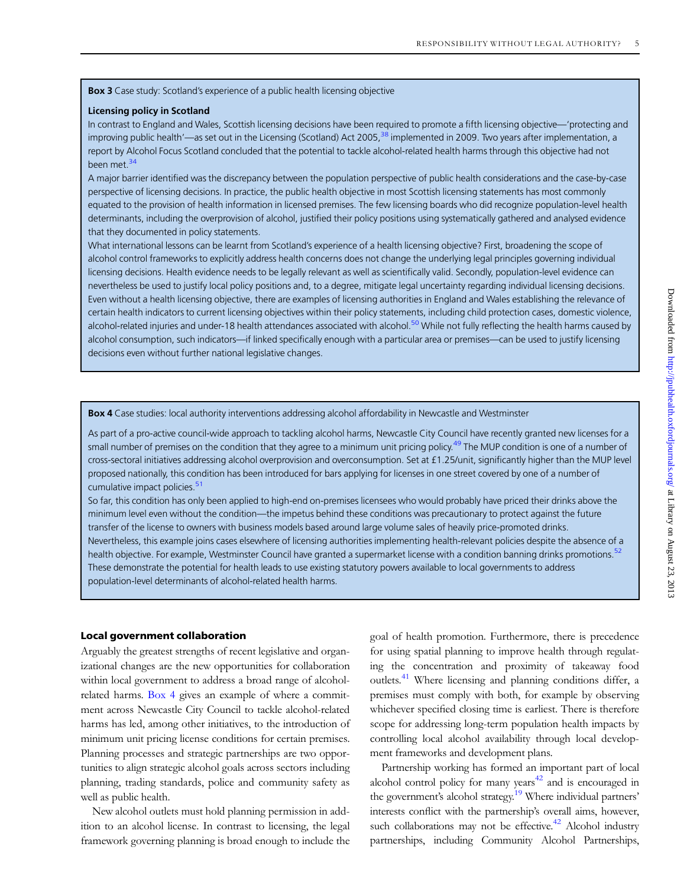Box 3 Case study: Scotland's experience of a public health licensing objective

#### Licensing policy in Scotland

In contrast to England and Wales, Scottish licensing decisions have been required to promote a fifth licensing objective—'protecting and improving public health'—as set out in the Licensing (Scotland) Act 2005,<sup>[38](#page-7-0)</sup> implemented in 2009. Two years after implementation, a report by Alcohol Focus Scotland concluded that the potential to tackle alcohol-related health harms through this objective had not been met.<sup>[34](#page-7-0)</sup>

A major barrier identified was the discrepancy between the population perspective of public health considerations and the case-by-case perspective of licensing decisions. In practice, the public health objective in most Scottish licensing statements has most commonly equated to the provision of health information in licensed premises. The few licensing boards who did recognize population-level health determinants, including the overprovision of alcohol, justified their policy positions using systematically gathered and analysed evidence that they documented in policy statements.

What international lessons can be learnt from Scotland's experience of a health licensing objective? First, broadening the scope of alcohol control frameworks to explicitly address health concerns does not change the underlying legal principles governing individual licensing decisions. Health evidence needs to be legally relevant as well as scientifically valid. Secondly, population-level evidence can nevertheless be used to justify local policy positions and, to a degree, mitigate legal uncertainty regarding individual licensing decisions. Even without a health licensing objective, there are examples of licensing authorities in England and Wales establishing the relevance of certain health indicators to current licensing objectives within their policy statements, including child protection cases, domestic violence, alcohol-related injuries and under-18 health attendances associated with alcohol.<sup>[50](#page-7-0)</sup> While not fully reflecting the health harms caused by alcohol consumption, such indicators—if linked specifically enough with a particular area or premises—can be used to justify licensing decisions even without further national legislative changes.

Box 4 Case studies: local authority interventions addressing alcohol affordability in Newcastle and Westminster

As part of a pro-active council-wide approach to tackling alcohol harms, Newcastle City Council have recently granted new licenses for a small number of premises on the condition that they agree to a minimum unit pricing policy.<sup>49</sup> The MUP condition is one of a number of cross-sectoral initiatives addressing alcohol overprovision and overconsumption. Set at £1.25/unit, significantly higher than the MUP level proposed nationally, this condition has been introduced for bars applying for licenses in one street covered by one of a number of cumulative impact policies.<sup>[51](#page-7-0)</sup>

So far, this condition has only been applied to high-end on-premises licensees who would probably have priced their drinks above the minimum level even without the condition—the impetus behind these conditions was precautionary to protect against the future transfer of the license to owners with business models based around large volume sales of heavily price-promoted drinks. Nevertheless, this example joins cases elsewhere of licensing authorities implementing health-relevant policies despite the absence of a

health objective. For example, Westminster Council have granted a supermarket license with a condition banning drinks promotions.<sup>[52](#page-7-0)</sup> These demonstrate the potential for health leads to use existing statutory powers available to local governments to address population-level determinants of alcohol-related health harms.

#### Local government collaboration

Arguably the greatest strengths of recent legislative and organizational changes are the new opportunities for collaboration within local government to address a broad range of alcoholrelated harms. Box 4 gives an example of where a commitment across Newcastle City Council to tackle alcohol-related harms has led, among other initiatives, to the introduction of minimum unit pricing license conditions for certain premises. Planning processes and strategic partnerships are two opportunities to align strategic alcohol goals across sectors including planning, trading standards, police and community safety as well as public health.

New alcohol outlets must hold planning permission in addition to an alcohol license. In contrast to licensing, the legal framework governing planning is broad enough to include the goal of health promotion. Furthermore, there is precedence for using spatial planning to improve health through regulating the concentration and proximity of takeaway food outlets.<sup>[41](#page-7-0)</sup> Where licensing and planning conditions differ, a premises must comply with both, for example by observing whichever specified closing time is earliest. There is therefore scope for addressing long-term population health impacts by controlling local alcohol availability through local development frameworks and development plans.

Partnership working has formed an important part of local alcohol control policy for many years<sup>42</sup> and is encouraged in the government's alcohol strategy.<sup>[19](#page-6-0)</sup> Where individual partners' interests conflict with the partnership's overall aims, however, such collaborations may not be effective.<sup>42</sup> Alcohol industry partnerships, including Community Alcohol Partnerships,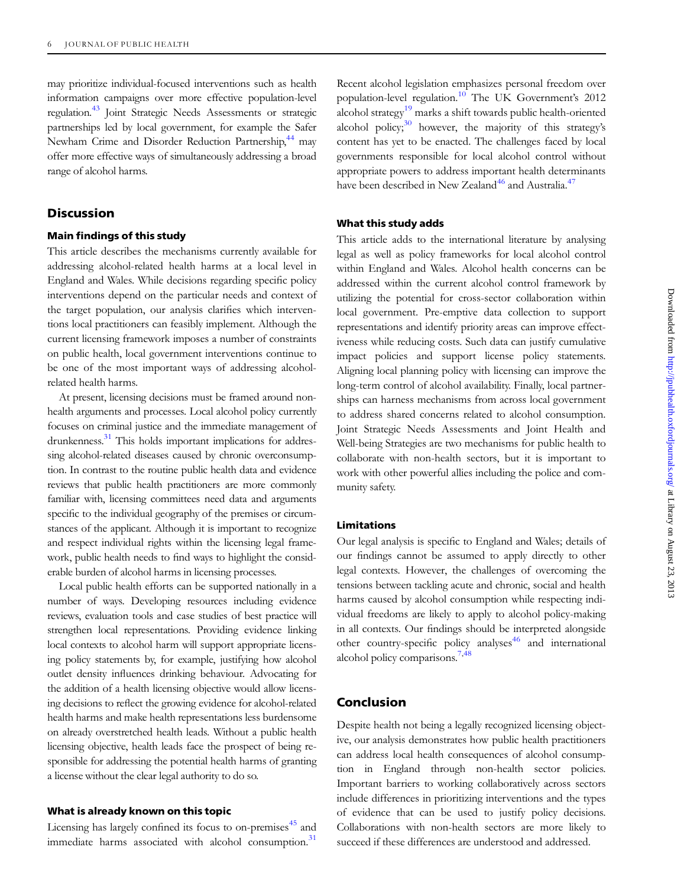may prioritize individual-focused interventions such as health information campaigns over more effective population-level regulation.<sup>[43](#page-7-0)</sup> Joint Strategic Needs Assessments or strategic partnerships led by local government, for example the Safer Newham Crime and Disorder Reduction Partnership,<sup>44</sup> may offer more effective ways of simultaneously addressing a broad range of alcohol harms.

# **Discussion**

#### Main findings of this study

This article describes the mechanisms currently available for addressing alcohol-related health harms at a local level in England and Wales. While decisions regarding specific policy interventions depend on the particular needs and context of the target population, our analysis clarifies which interventions local practitioners can feasibly implement. Although the current licensing framework imposes a number of constraints on public health, local government interventions continue to be one of the most important ways of addressing alcoholrelated health harms.

At present, licensing decisions must be framed around nonhealth arguments and processes. Local alcohol policy currently focuses on criminal justice and the immediate management of drunkenness.<sup>[31](#page-6-0)</sup> This holds important implications for addressing alcohol-related diseases caused by chronic overconsumption. In contrast to the routine public health data and evidence reviews that public health practitioners are more commonly familiar with, licensing committees need data and arguments specific to the individual geography of the premises or circumstances of the applicant. Although it is important to recognize and respect individual rights within the licensing legal framework, public health needs to find ways to highlight the considerable burden of alcohol harms in licensing processes.

Local public health efforts can be supported nationally in a number of ways. Developing resources including evidence reviews, evaluation tools and case studies of best practice will strengthen local representations. Providing evidence linking local contexts to alcohol harm will support appropriate licensing policy statements by, for example, justifying how alcohol outlet density influences drinking behaviour. Advocating for the addition of a health licensing objective would allow licensing decisions to reflect the growing evidence for alcohol-related health harms and make health representations less burdensome on already overstretched health leads. Without a public health licensing objective, health leads face the prospect of being responsible for addressing the potential health harms of granting a license without the clear legal authority to do so.

#### What is already known on this topic

Licensing has largely confined its focus to on-premises<sup>[45](#page-7-0)</sup> and immediate harms associated with alcohol consumption.<sup>[31](#page-6-0)</sup> Recent alcohol legislation emphasizes personal freedom over population-level regulation.<sup>[10](#page-6-0)</sup> The UK Government's 2012 alcohol strategy<sup>[19](#page-6-0)</sup> marks a shift towards public health-oriented alcohol policy; $30$  however, the majority of this strategy's content has yet to be enacted. The challenges faced by local governments responsible for local alcohol control without appropriate powers to address important health determinants have been described in New Zealand<sup>[46](#page-7-0)</sup> and Australia.<sup>[47](#page-7-0)</sup>

#### What this study adds

This article adds to the international literature by analysing legal as well as policy frameworks for local alcohol control within England and Wales. Alcohol health concerns can be addressed within the current alcohol control framework by utilizing the potential for cross-sector collaboration within local government. Pre-emptive data collection to support representations and identify priority areas can improve effectiveness while reducing costs. Such data can justify cumulative impact policies and support license policy statements. Aligning local planning policy with licensing can improve the long-term control of alcohol availability. Finally, local partnerships can harness mechanisms from across local government to address shared concerns related to alcohol consumption. Joint Strategic Needs Assessments and Joint Health and Well-being Strategies are two mechanisms for public health to collaborate with non-health sectors, but it is important to work with other powerful allies including the police and community safety.

#### Limitations

Our legal analysis is specific to England and Wales; details of our findings cannot be assumed to apply directly to other legal contexts. However, the challenges of overcoming the tensions between tackling acute and chronic, social and health harms caused by alcohol consumption while respecting individual freedoms are likely to apply to alcohol policy-making in all contexts. Our findings should be interpreted alongside other country-specific policy analyses<sup>[46](#page-7-0)</sup> and international alcohol policy comparisons.<sup>7[,48](#page-7-0)</sup>

# Conclusion

Despite health not being a legally recognized licensing objective, our analysis demonstrates how public health practitioners can address local health consequences of alcohol consumption in England through non-health sector policies. Important barriers to working collaboratively across sectors include differences in prioritizing interventions and the types of evidence that can be used to justify policy decisions. Collaborations with non-health sectors are more likely to succeed if these differences are understood and addressed.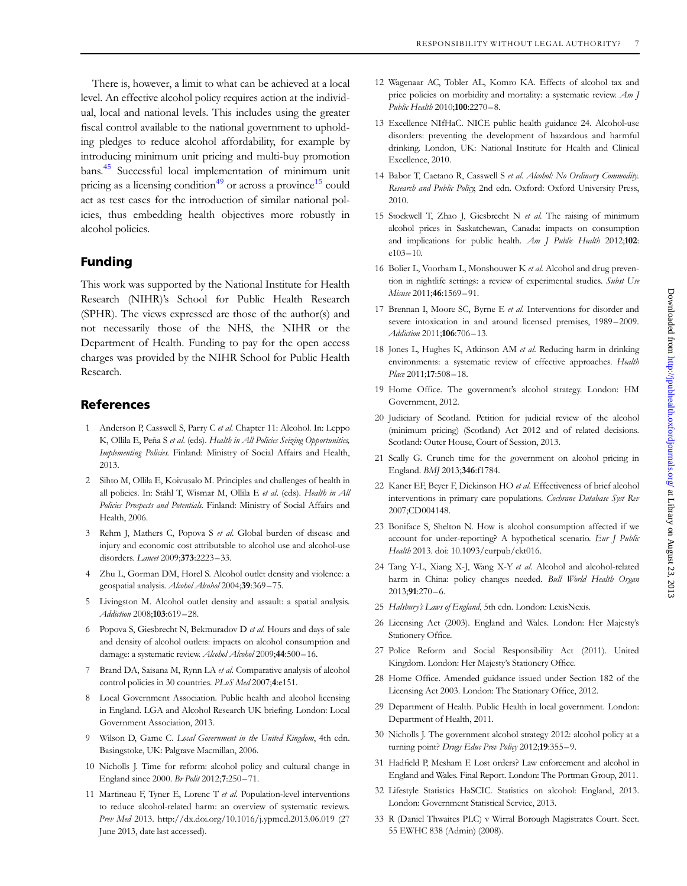<span id="page-6-0"></span>There is, however, a limit to what can be achieved at a local level. An effective alcohol policy requires action at the individual, local and national levels. This includes using the greater fiscal control available to the national government to upholding pledges to reduce alcohol affordability, for example by introducing minimum unit pricing and multi-buy promotion bans[.45](#page-7-0) Successful local implementation of minimum unit pricing as a licensing condition<sup>[49](#page-7-0)</sup> or across a province<sup>15</sup> could act as test cases for the introduction of similar national policies, thus embedding health objectives more robustly in alcohol policies.

# Funding

This work was supported by the National Institute for Health Research (NIHR)'s School for Public Health Research (SPHR). The views expressed are those of the author(s) and not necessarily those of the NHS, the NIHR or the Department of Health. Funding to pay for the open access charges was provided by the NIHR School for Public Health Research.

# References

- 1 Anderson P, Casswell S, Parry C et al. Chapter 11: Alcohol. In: Leppo K, Ollila E, Peña S et al. (eds). Health in All Policies Seizing Opportunities, Implementing Policies. Finland: Ministry of Social Affairs and Health, 2013.
- 2 Sihto M, Ollila E, Koivusalo M. Principles and challenges of health in all policies. In: Ståhl T, Wismar M, Ollila E et al. (eds). Health in All Policies Prospects and Potentials. Finland: Ministry of Social Affairs and Health, 2006.
- 3 Rehm J, Mathers C, Popova S et al. Global burden of disease and injury and economic cost attributable to alcohol use and alcohol-use disorders. Lancet 2009;373:2223 –33.
- 4 Zhu L, Gorman DM, Horel S. Alcohol outlet density and violence: a geospatial analysis. Alcohol Alcohol 2004;39:369-75.
- 5 Livingston M. Alcohol outlet density and assault: a spatial analysis. Addiction 2008;103:619-28.
- 6 Popova S, Giesbrecht N, Bekmuradov D et al. Hours and days of sale and density of alcohol outlets: impacts on alcohol consumption and damage: a systematic review. Alcohol Alcohol 2009;44:500-16.
- 7 Brand DA, Saisana M, Rynn LA et al. Comparative analysis of alcohol control policies in 30 countries. PLoS Med 2007;4:e151.
- 8 Local Government Association. Public health and alcohol licensing in England. LGA and Alcohol Research UK briefing. London: Local Government Association, 2013.
- 9 Wilson D, Game C. Local Government in the United Kingdom, 4th edn. Basingstoke, UK: Palgrave Macmillan, 2006.
- 10 Nicholls J. Time for reform: alcohol policy and cultural change in England since 2000. Br Polit 2012;7:250 –71.
- 11 Martineau F, Tyner E, Lorenc T et al. Population-level interventions to reduce alcohol-related harm: an overview of systematic reviews. Prev Med 2013. http://dx.doi.org/10.1016/j.ypmed.2013.06.019 (27 June 2013, date last accessed).
- 12 Wagenaar AC, Tobler AL, Komro KA. Effects of alcohol tax and price policies on morbidity and mortality: a systematic review. Am J  $Public Health 2010:100:2270 - 8.$
- 13 Excellence NIfHaC. NICE public health guidance 24. Alcohol-use disorders: preventing the development of hazardous and harmful drinking. London, UK: National Institute for Health and Clinical Excellence, 2010.
- 14 Babor T, Caetano R, Casswell S et al. Alcohol: No Ordinary Commodity. Research and Public Policy, 2nd edn. Oxford: Oxford University Press, 2010.
- 15 Stockwell T, Zhao J, Giesbrecht N et al. The raising of minimum alcohol prices in Saskatchewan, Canada: impacts on consumption and implications for public health. Am J Public Health 2012;102: e103–10.
- 16 Bolier L, Voorham L, Monshouwer K et al. Alcohol and drug prevention in nightlife settings: a review of experimental studies. Subst Use Misuse 2011;46:1569-91.
- 17 Brennan I, Moore SC, Byrne E et al. Interventions for disorder and severe intoxication in and around licensed premises, 1989 –2009. Addiction 2011;106:706-13.
- 18 Jones L, Hughes K, Atkinson AM et al. Reducing harm in drinking environments: a systematic review of effective approaches. Health Place 2011;17:508-18.
- 19 Home Office. The government's alcohol strategy. London: HM Government, 2012.
- 20 Judiciary of Scotland. Petition for judicial review of the alcohol (minimum pricing) (Scotland) Act 2012 and of related decisions. Scotland: Outer House, Court of Session, 2013.
- 21 Scally G. Crunch time for the government on alcohol pricing in England. BMJ 2013;346:f1784.
- 22 Kaner EF, Beyer F, Dickinson HO et al. Effectiveness of brief alcohol interventions in primary care populations. Cochrane Database Syst Rev 2007;CD004148.
- 23 Boniface S, Shelton N. How is alcohol consumption affected if we account for under-reporting? A hypothetical scenario. Eur J Public Health 2013. doi: 10.1093/eurpub/ckt016.
- 24 Tang Y-L, Xiang X-J, Wang X-Y et al. Alcohol and alcohol-related harm in China: policy changes needed. Bull World Health Organ 2013;91:270–6.
- 25 Halsbury's Laws of England, 5th edn. London: LexisNexis.
- 26 Licensing Act (2003). England and Wales. London: Her Majesty's Stationery Office.
- 27 Police Reform and Social Responsibility Act (2011). United Kingdom. London: Her Majesty's Stationery Office.
- 28 Home Office. Amended guidance issued under Section 182 of the Licensing Act 2003. London: The Stationary Office, 2012.
- 29 Department of Health. Public Health in local government. London: Department of Health, 2011.
- 30 Nicholls J. The government alcohol strategy 2012: alcohol policy at a turning point? Drugs Educ Prev Policy 2012;19:355-9.
- 31 Hadfield P, Mesham F. Lost orders? Law enforcement and alcohol in England and Wales. Final Report. London: The Portman Group, 2011.
- 32 Lifestyle Statistics HaSCIC. Statistics on alcohol: England, 2013. London: Government Statistical Service, 2013.
- 33 R (Daniel Thwaites PLC) v Wirral Borough Magistrates Court. Sect. 55 EWHC 838 (Admin) (2008).